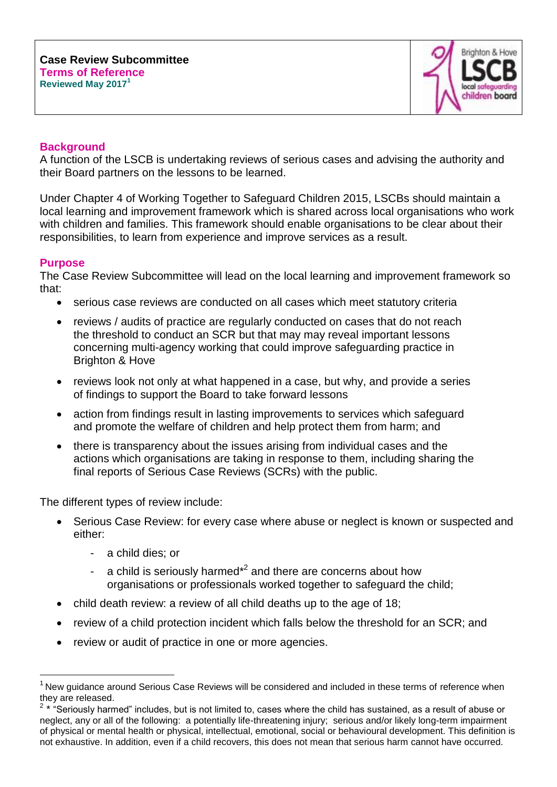

# **Background**

A function of the LSCB is undertaking reviews of serious cases and advising the authority and their Board partners on the lessons to be learned.

Under Chapter 4 of Working Together to Safeguard Children 2015, LSCBs should maintain a local learning and improvement framework which is shared across local organisations who work with children and families. This framework should enable organisations to be clear about their responsibilities, to learn from experience and improve services as a result.

### **Purpose**

 $\overline{a}$ 

The Case Review Subcommittee will lead on the local learning and improvement framework so that:

- serious case reviews are conducted on all cases which meet statutory criteria
- reviews / audits of practice are regularly conducted on cases that do not reach the threshold to conduct an SCR but that may may reveal important lessons concerning multi-agency working that could improve safeguarding practice in Brighton & Hove
- reviews look not only at what happened in a case, but why, and provide a series of findings to support the Board to take forward lessons
- action from findings result in lasting improvements to services which safeguard and promote the welfare of children and help protect them from harm; and
- there is transparency about the issues arising from individual cases and the actions which organisations are taking in response to them, including sharing the final reports of Serious Case Reviews (SCRs) with the public.

The different types of review include:

- Serious Case Review: for every case where abuse or neglect is known or suspected and either:
	- a child dies; or
	- a child is seriously harmed $*^2$  and there are concerns about how organisations or professionals worked together to safeguard the child;
- child death review: a review of all child deaths up to the age of 18;
- review of a child protection incident which falls below the threshold for an SCR; and
- review or audit of practice in one or more agencies.

<sup>&</sup>lt;sup>1</sup> New guidance around Serious Case Reviews will be considered and included in these terms of reference when they are released. 2 \* "Seriously harmed" includes, but is not limited to, cases where the child has sustained, as a result of abuse or

neglect, any or all of the following: a potentially life-threatening injury; serious and/or likely long-term impairment of physical or mental health or physical, intellectual, emotional, social or behavioural development. This definition is not exhaustive. In addition, even if a child recovers, this does not mean that serious harm cannot have occurred.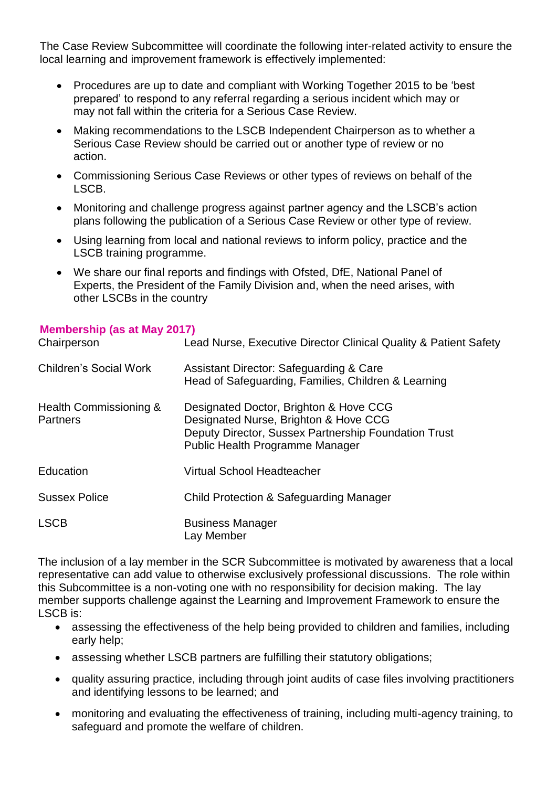The Case Review Subcommittee will coordinate the following inter-related activity to ensure the local learning and improvement framework is effectively implemented:

- Procedures are up to date and compliant with Working Together 2015 to be 'best prepared' to respond to any referral regarding a serious incident which may or may not fall within the criteria for a Serious Case Review.
- Making recommendations to the LSCB Independent Chairperson as to whether a Serious Case Review should be carried out or another type of review or no action.
- Commissioning Serious Case Reviews or other types of reviews on behalf of the LSCB.
- Monitoring and challenge progress against partner agency and the LSCB's action plans following the publication of a Serious Case Review or other type of review.
- Using learning from local and national reviews to inform policy, practice and the LSCB training programme.
- We share our final reports and findings with Ofsted, DfE, National Panel of Experts, the President of the Family Division and, when the need arises, with other LSCBs in the country

### **Membership (as at May 2017)**

| Chairperson                               | Lead Nurse, Executive Director Clinical Quality & Patient Safety                                                                                                           |
|-------------------------------------------|----------------------------------------------------------------------------------------------------------------------------------------------------------------------------|
| <b>Children's Social Work</b>             | <b>Assistant Director: Safeguarding &amp; Care</b><br>Head of Safeguarding, Families, Children & Learning                                                                  |
| Health Commissioning &<br><b>Partners</b> | Designated Doctor, Brighton & Hove CCG<br>Designated Nurse, Brighton & Hove CCG<br>Deputy Director, Sussex Partnership Foundation Trust<br>Public Health Programme Manager |
| Education                                 | Virtual School Headteacher                                                                                                                                                 |
| <b>Sussex Police</b>                      | <b>Child Protection &amp; Safeguarding Manager</b>                                                                                                                         |
| <b>LSCB</b>                               | <b>Business Manager</b><br>Lay Member                                                                                                                                      |

The inclusion of a lay member in the SCR Subcommittee is motivated by awareness that a local representative can add value to otherwise exclusively professional discussions. The role within this Subcommittee is a non-voting one with no responsibility for decision making. The lay member supports challenge against the Learning and Improvement Framework to ensure the LSCB is:

- assessing the effectiveness of the help being provided to children and families, including early help;
- assessing whether LSCB partners are fulfilling their statutory obligations;
- quality assuring practice, including through joint audits of case files involving practitioners and identifying lessons to be learned; and
- monitoring and evaluating the effectiveness of training, including multi-agency training, to safeguard and promote the welfare of children.